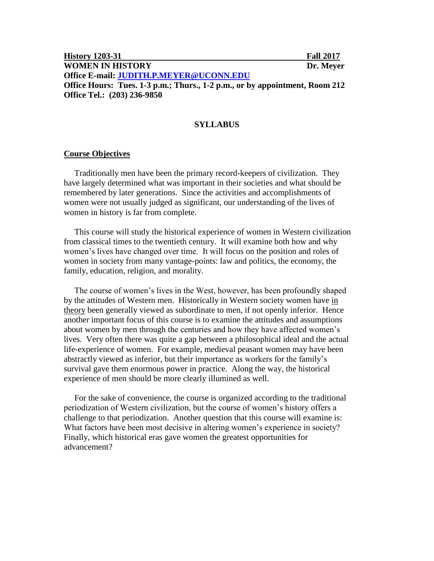| <b>History 1203-31</b>                                                      | <b>Fall 2017</b> |
|-----------------------------------------------------------------------------|------------------|
| <b>WOMEN IN HISTORY</b>                                                     | Dr. Meyer        |
| Office E-mail: JUDITH.P.MEYER@UCONN.EDU                                     |                  |
| Office Hours: Tues. 1-3 p.m.; Thurs., 1-2 p.m., or by appointment, Room 212 |                  |
| Office Tel.: (203) 236-9850                                                 |                  |

## **SYLLABUS**

#### **Course Objectives**

 Traditionally men have been the primary record-keepers of civilization. They have largely determined what was important in their societies and what should be remembered by later generations. Since the activities and accomplishments of women were not usually judged as significant, our understanding of the lives of women in history is far from complete.

 This course will study the historical experience of women in Western civilization from classical times to the twentieth century. It will examine both how and why women's lives have changed over time. It will focus on the position and roles of women in society from many vantage-points: law and politics, the economy, the family, education, religion, and morality.

 The course of women's lives in the West, however, has been profoundly shaped by the attitudes of Western men. Historically in Western society women have in theory been generally viewed as subordinate to men, if not openly inferior. Hence another important focus of this course is to examine the attitudes and assumptions about women by men through the centuries and how they have affected women's lives. Very often there was quite a gap between a philosophical ideal and the actual life-experience of women. For example, medieval peasant women may have been abstractly viewed as inferior, but their importance as workers for the family's survival gave them enormous power in practice. Along the way, the historical experience of men should be more clearly illumined as well.

 For the sake of convenience, the course is organized according to the traditional periodization of Western civilization, but the course of women's history offers a challenge to that periodization. Another question that this course will examine is: What factors have been most decisive in altering women's experience in society? Finally, which historical eras gave women the greatest opportunities for advancement?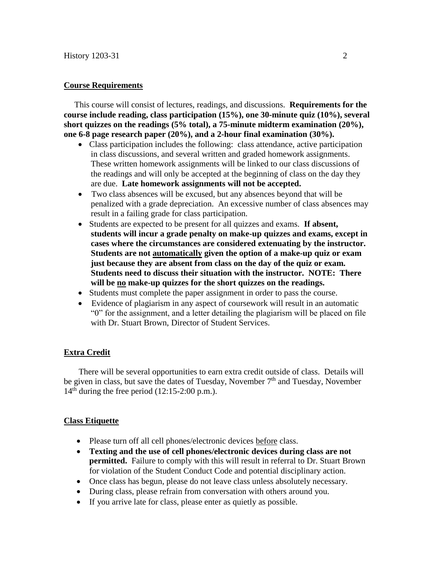## **Course Requirements**

 This course will consist of lectures, readings, and discussions. **Requirements for the course include reading, class participation (15%), one 30-minute quiz (10%), several short quizzes on the readings (5% total), a 75-minute midterm examination (20%), one 6-8 page research paper (20%), and a 2-hour final examination (30%).** 

- Class participation includes the following: class attendance, active participation in class discussions, and several written and graded homework assignments. These written homework assignments will be linked to our class discussions of the readings and will only be accepted at the beginning of class on the day they are due. **Late homework assignments will not be accepted.**
- Two class absences will be excused, but any absences beyond that will be penalized with a grade depreciation. An excessive number of class absences may result in a failing grade for class participation.
- Students are expected to be present for all quizzes and exams. **If absent, students will incur a grade penalty on make-up quizzes and exams, except in cases where the circumstances are considered extenuating by the instructor. Students are not automatically given the option of a make-up quiz or exam just because they are absent from class on the day of the quiz or exam. Students need to discuss their situation with the instructor. NOTE: There will be no make-up quizzes for the short quizzes on the readings.**
- Students must complete the paper assignment in order to pass the course.
- Evidence of plagiarism in any aspect of coursework will result in an automatic "0" for the assignment, and a letter detailing the plagiarism will be placed on file with Dr. Stuart Brown, Director of Student Services.

## **Extra Credit**

 There will be several opportunities to earn extra credit outside of class. Details will be given in class, but save the dates of Tuesday, November  $7<sup>th</sup>$  and Tuesday, November 14 th during the free period (12:15-2:00 p.m.).

## **Class Etiquette**

- Please turn off all cell phones/electronic devices before class.
- **Texting and the use of cell phones/electronic devices during class are not permitted.** Failure to comply with this will result in referral to Dr. Stuart Brown for violation of the Student Conduct Code and potential disciplinary action.
- Once class has begun, please do not leave class unless absolutely necessary.
- During class, please refrain from conversation with others around you.
- If you arrive late for class, please enter as quietly as possible.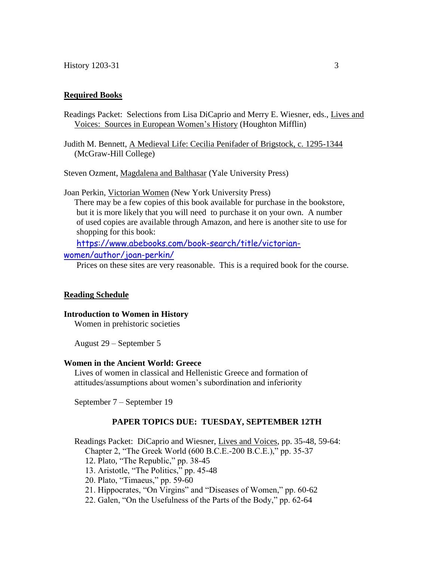## **Required Books**

Readings Packet: Selections from Lisa DiCaprio and Merry E. Wiesner, eds., Lives and Voices: Sources in European Women's History (Houghton Mifflin)

Judith M. Bennett, A Medieval Life: Cecilia Penifader of Brigstock, c. 1295-1344 (McGraw-Hill College)

Steven Ozment, Magdalena and Balthasar (Yale University Press)

Joan Perkin, Victorian Women (New York University Press)

 There may be a few copies of this book available for purchase in the bookstore, but it is more likely that you will need to purchase it on your own. A number of used copies are available through Amazon, and here is another site to use for shopping for this book:

[https://www.abebooks.com/book-search/title/victorian-](https://www.abebooks.com/book-search/title/victorian-women/author/joan-perkin/)

# [women/author/joan-perkin/](https://www.abebooks.com/book-search/title/victorian-women/author/joan-perkin/)

Prices on these sites are very reasonable. This is a required book for the course.

#### **Reading Schedule**

**Introduction to Women in History** Women in prehistoric societies

August 29 – September 5

## **Women in the Ancient World: Greece**

 Lives of women in classical and Hellenistic Greece and formation of attitudes/assumptions about women's subordination and inferiority

September 7 – September 19

#### **PAPER TOPICS DUE: TUESDAY, SEPTEMBER 12TH**

Readings Packet: DiCaprio and Wiesner, Lives and Voices, pp. 35-48, 59-64:

Chapter 2, "The Greek World (600 B.C.E.-200 B.C.E.)," pp. 35-37

- 12. Plato, "The Republic," pp. 38-45
- 13. Aristotle, "The Politics," pp. 45-48
- 20. Plato, "Timaeus," pp. 59-60
- 21. Hippocrates, "On Virgins" and "Diseases of Women," pp. 60-62
- 22. Galen, "On the Usefulness of the Parts of the Body," pp. 62-64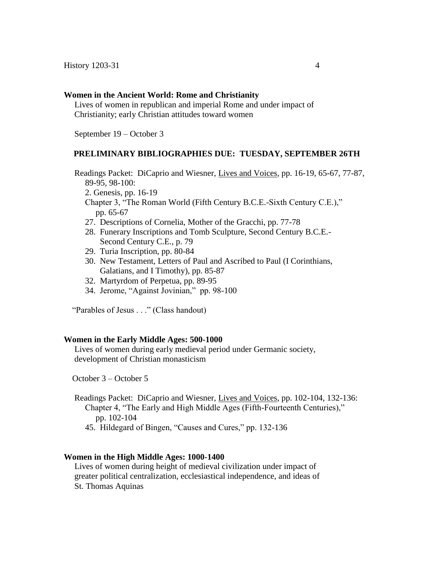#### **Women in the Ancient World: Rome and Christianity**

 Lives of women in republican and imperial Rome and under impact of Christianity; early Christian attitudes toward women

September 19 – October 3

#### **PRELIMINARY BIBLIOGRAPHIES DUE: TUESDAY, SEPTEMBER 26TH**

 Readings Packet: DiCaprio and Wiesner, Lives and Voices, pp. 16-19, 65-67, 77-87, 89-95, 98-100:

2. Genesis, pp. 16-19

 Chapter 3, "The Roman World (Fifth Century B.C.E.-Sixth Century C.E.)," pp. 65-67

- 27. Descriptions of Cornelia, Mother of the Gracchi, pp. 77-78
- 28. Funerary Inscriptions and Tomb Sculpture, Second Century B.C.E.- Second Century C.E., p. 79
- 29. Turia Inscription, pp. 80-84
- 30. New Testament, Letters of Paul and Ascribed to Paul (I Corinthians, Galatians, and I Timothy), pp. 85-87
- 32. Martyrdom of Perpetua, pp. 89-95
- 34. Jerome, "Against Jovinian," pp. 98-100

"Parables of Jesus . . ." (Class handout)

#### **Women in the Early Middle Ages: 500-1000**

 Lives of women during early medieval period under Germanic society, development of Christian monasticism

October 3 – October 5

- Readings Packet: DiCaprio and Wiesner, Lives and Voices, pp. 102-104, 132-136: Chapter 4, "The Early and High Middle Ages (Fifth-Fourteenth Centuries)," pp. 102-104
	- 45. Hildegard of Bingen, "Causes and Cures," pp. 132-136

### **Women in the High Middle Ages: 1000-1400**

 Lives of women during height of medieval civilization under impact of greater political centralization, ecclesiastical independence, and ideas of St. Thomas Aquinas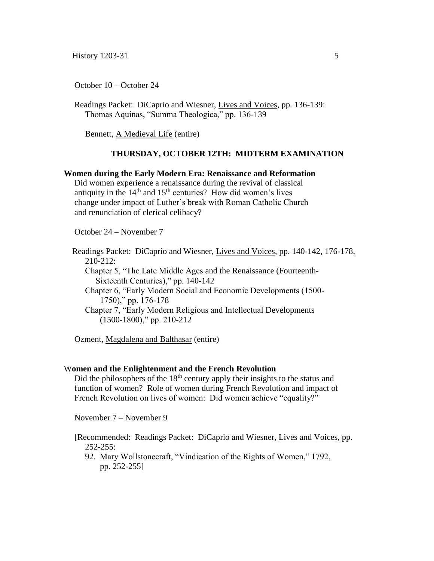October 10 – October 24

 Readings Packet: DiCaprio and Wiesner, Lives and Voices, pp. 136-139: Thomas Aquinas, "Summa Theologica," pp. 136-139

Bennett, A Medieval Life (entire)

## **THURSDAY, OCTOBER 12TH: MIDTERM EXAMINATION**

## **Women during the Early Modern Era: Renaissance and Reformation**

 Did women experience a renaissance during the revival of classical antiquity in the  $14<sup>th</sup>$  and  $15<sup>th</sup>$  centuries? How did women's lives change under impact of Luther's break with Roman Catholic Church and renunciation of clerical celibacy?

October 24 – November 7

 Readings Packet: DiCaprio and Wiesner, Lives and Voices, pp. 140-142, 176-178, 210-212:

 Chapter 5, "The Late Middle Ages and the Renaissance (Fourteenth- Sixteenth Centuries)," pp. 140-142

 Chapter 6, "Early Modern Social and Economic Developments (1500- 1750)," pp. 176-178

 Chapter 7, "Early Modern Religious and Intellectual Developments (1500-1800)," pp. 210-212

Ozment, Magdalena and Balthasar (entire)

#### W**omen and the Enlightenment and the French Revolution**

Did the philosophers of the  $18<sup>th</sup>$  century apply their insights to the status and function of women? Role of women during French Revolution and impact of French Revolution on lives of women: Did women achieve "equality?"

November 7 – November 9

 [Recommended: Readings Packet: DiCaprio and Wiesner, Lives and Voices, pp.  $252 - 255$ :

92. Mary Wollstonecraft, "Vindication of the Rights of Women," 1792, pp. 252-255]